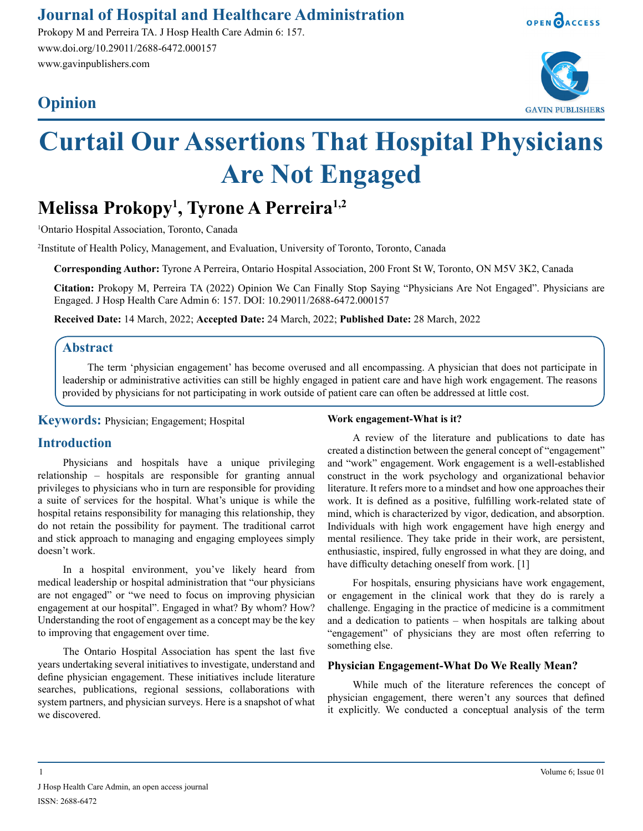# **Journal of Hospital and Healthcare Administration**

Prokopy M and Perreira TA. J Hosp Health Care Admin 6: 157. www.doi.org/10.29011/2688-6472.000157 www.gavinpublishers.com

# **Opinion**





# **Curtail Our Assertions That Hospital Physicians Are Not Engaged**

# **Melissa Prokopy1 , Tyrone A Perreira1,2**

1 Ontario Hospital Association, Toronto, Canada

2 Institute of Health Policy, Management, and Evaluation, University of Toronto, Toronto, Canada

**Corresponding Author:** Tyrone A Perreira, Ontario Hospital Association, 200 Front St W, Toronto, ON M5V 3K2, Canada

**Citation:** Prokopy M, Perreira TA (2022) Opinion We Can Finally Stop Saying "Physicians Are Not Engaged". Physicians are Engaged. J Hosp Health Care Admin 6: 157. DOI: 10.29011/2688-6472.000157

**Received Date:** 14 March, 2022; **Accepted Date:** 24 March, 2022; **Published Date:** 28 March, 2022

## **Abstract**

The term 'physician engagement' has become overused and all encompassing. A physician that does not participate in leadership or administrative activities can still be highly engaged in patient care and have high work engagement. The reasons provided by physicians for not participating in work outside of patient care can often be addressed at little cost.

**Keywords:** Physician; Engagement; Hospital

# **Introduction**

Physicians and hospitals have a unique privileging relationship – hospitals are responsible for granting annual privileges to physicians who in turn are responsible for providing a suite of services for the hospital. What's unique is while the hospital retains responsibility for managing this relationship, they do not retain the possibility for payment. The traditional carrot and stick approach to managing and engaging employees simply doesn't work.

In a hospital environment, you've likely heard from medical leadership or hospital administration that "our physicians are not engaged" or "we need to focus on improving physician engagement at our hospital". Engaged in what? By whom? How? Understanding the root of engagement as a concept may be the key to improving that engagement over time.

The Ontario Hospital Association has spent the last five years undertaking several initiatives to investigate, understand and define physician engagement. These initiatives include literature searches, publications, regional sessions, collaborations with system partners, and physician surveys. Here is a snapshot of what we discovered.

#### **Work engagement-What is it?**

A review of the literature and publications to date has created a distinction between the general concept of "engagement" and "work" engagement. Work engagement is a well-established construct in the work psychology and organizational behavior literature. It refers more to a mindset and how one approaches their work. It is defined as a positive, fulfilling work-related state of mind, which is characterized by vigor, dedication, and absorption. Individuals with high work engagement have high energy and mental resilience. They take pride in their work, are persistent, enthusiastic, inspired, fully engrossed in what they are doing, and have difficulty detaching oneself from work. [1]

For hospitals, ensuring physicians have work engagement, or engagement in the clinical work that they do is rarely a challenge. Engaging in the practice of medicine is a commitment and a dedication to patients – when hospitals are talking about "engagement" of physicians they are most often referring to something else.

#### **Physician Engagement-What Do We Really Mean?**

While much of the literature references the concept of physician engagement, there weren't any sources that defined it explicitly. We conducted a conceptual analysis of the term